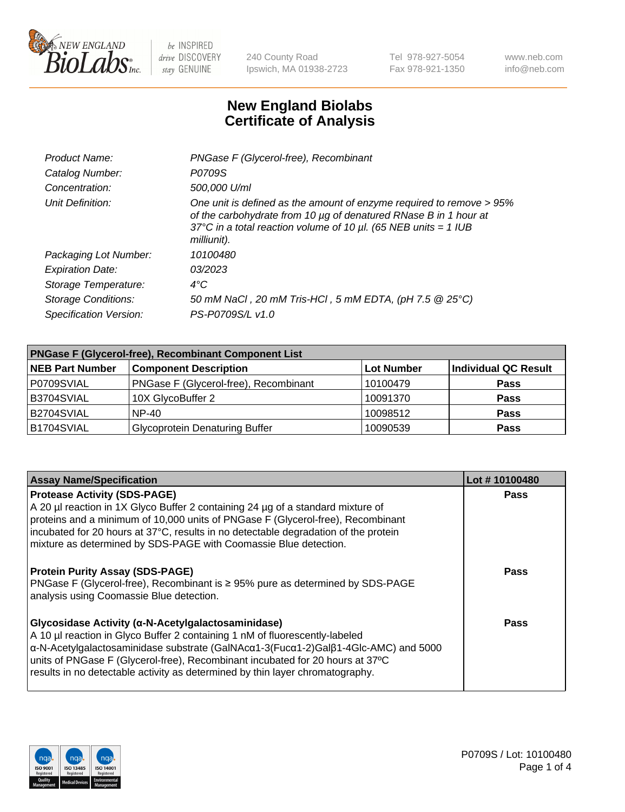

240 County Road Ipswich, MA 01938-2723 Tel 978-927-5054 Fax 978-921-1350 www.neb.com info@neb.com

## **New England Biolabs Certificate of Analysis**

| Product Name:              | PNGase F (Glycerol-free), Recombinant                                                                                                                                                                                           |  |
|----------------------------|---------------------------------------------------------------------------------------------------------------------------------------------------------------------------------------------------------------------------------|--|
| Catalog Number:            | P0709S                                                                                                                                                                                                                          |  |
| Concentration:             | 500,000 U/ml                                                                                                                                                                                                                    |  |
| Unit Definition:           | One unit is defined as the amount of enzyme required to remove > 95%<br>of the carbohydrate from 10 µg of denatured RNase B in 1 hour at<br>37°C in a total reaction volume of 10 $\mu$ l. (65 NEB units = 1 IUB<br>milliunit). |  |
| Packaging Lot Number:      | 10100480                                                                                                                                                                                                                        |  |
| <b>Expiration Date:</b>    | 03/2023                                                                                                                                                                                                                         |  |
| Storage Temperature:       | $4^{\circ}$ C                                                                                                                                                                                                                   |  |
| <b>Storage Conditions:</b> | 50 mM NaCl, 20 mM Tris-HCl, 5 mM EDTA, (pH 7.5 @ 25°C)                                                                                                                                                                          |  |
| Specification Version:     | PS-P0709S/L v1.0                                                                                                                                                                                                                |  |

| <b>PNGase F (Glycerol-free), Recombinant Component List</b> |                                       |                   |                      |  |  |
|-------------------------------------------------------------|---------------------------------------|-------------------|----------------------|--|--|
| <b>NEB Part Number</b>                                      | <b>Component Description</b>          | <b>Lot Number</b> | Individual QC Result |  |  |
| P0709SVIAL                                                  | PNGase F (Glycerol-free), Recombinant | 10100479          | <b>Pass</b>          |  |  |
| B3704SVIAL                                                  | 10X GlycoBuffer 2                     | 10091370          | <b>Pass</b>          |  |  |
| B2704SVIAL                                                  | <b>NP-40</b>                          | 10098512          | <b>Pass</b>          |  |  |
| B1704SVIAL                                                  | <b>Glycoprotein Denaturing Buffer</b> | 10090539          | <b>Pass</b>          |  |  |

| <b>Assay Name/Specification</b>                                                                                                                                                                                                                                                                                                                                                           | Lot #10100480 |
|-------------------------------------------------------------------------------------------------------------------------------------------------------------------------------------------------------------------------------------------------------------------------------------------------------------------------------------------------------------------------------------------|---------------|
| <b>Protease Activity (SDS-PAGE)</b><br>A 20 µl reaction in 1X Glyco Buffer 2 containing 24 µg of a standard mixture of<br>proteins and a minimum of 10,000 units of PNGase F (Glycerol-free), Recombinant<br>incubated for 20 hours at 37°C, results in no detectable degradation of the protein<br>mixture as determined by SDS-PAGE with Coomassie Blue detection.                      | <b>Pass</b>   |
| <b>Protein Purity Assay (SDS-PAGE)</b><br>PNGase F (Glycerol-free), Recombinant is $\geq 95\%$ pure as determined by SDS-PAGE<br>analysis using Coomassie Blue detection.                                                                                                                                                                                                                 | Pass          |
| Glycosidase Activity (α-N-Acetylgalactosaminidase)<br>A 10 µl reaction in Glyco Buffer 2 containing 1 nM of fluorescently-labeled<br>α-N-Acetylgalactosaminidase substrate (GalNAcα1-3(Fucα1-2)Galβ1-4Glc-AMC) and 5000<br>units of PNGase F (Glycerol-free), Recombinant incubated for 20 hours at 37°C<br>results in no detectable activity as determined by thin layer chromatography. | Pass          |

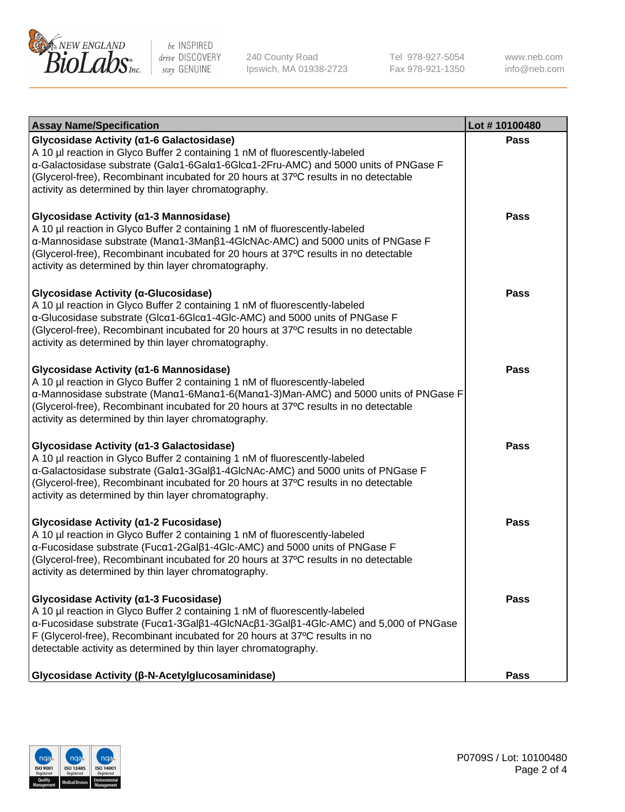

240 County Road Ipswich, MA 01938-2723 Tel 978-927-5054 Fax 978-921-1350 www.neb.com info@neb.com

| <b>Assay Name/Specification</b>                                                                                                                                                                                                                                                                                                                                 | Lot #10100480 |
|-----------------------------------------------------------------------------------------------------------------------------------------------------------------------------------------------------------------------------------------------------------------------------------------------------------------------------------------------------------------|---------------|
| Glycosidase Activity (a1-6 Galactosidase)<br>A 10 µl reaction in Glyco Buffer 2 containing 1 nM of fluorescently-labeled<br>α-Galactosidase substrate (Galα1-6Galα1-6Glcα1-2Fru-AMC) and 5000 units of PNGase F<br>(Glycerol-free), Recombinant incubated for 20 hours at 37°C results in no detectable<br>activity as determined by thin layer chromatography. | <b>Pass</b>   |
| Glycosidase Activity (α1-3 Mannosidase)<br>A 10 µl reaction in Glyco Buffer 2 containing 1 nM of fluorescently-labeled<br>α-Mannosidase substrate (Manα1-3Manβ1-4GlcNAc-AMC) and 5000 units of PNGase F<br>(Glycerol-free), Recombinant incubated for 20 hours at 37°C results in no detectable<br>activity as determined by thin layer chromatography.         | <b>Pass</b>   |
| Glycosidase Activity (α-Glucosidase)<br>A 10 µl reaction in Glyco Buffer 2 containing 1 nM of fluorescently-labeled<br>a-Glucosidase substrate (Glca1-6Glca1-4Glc-AMC) and 5000 units of PNGase F<br>(Glycerol-free), Recombinant incubated for 20 hours at 37°C results in no detectable<br>activity as determined by thin layer chromatography.               | <b>Pass</b>   |
| Glycosidase Activity (α1-6 Mannosidase)<br>A 10 µl reaction in Glyco Buffer 2 containing 1 nM of fluorescently-labeled<br>α-Mannosidase substrate (Μanα1-6Μanα1-6(Μanα1-3)Man-AMC) and 5000 units of PNGase F<br>(Glycerol-free), Recombinant incubated for 20 hours at 37°C results in no detectable<br>activity as determined by thin layer chromatography.   | <b>Pass</b>   |
| Glycosidase Activity (a1-3 Galactosidase)<br>A 10 µl reaction in Glyco Buffer 2 containing 1 nM of fluorescently-labeled<br>α-Galactosidase substrate (Galα1-3Galβ1-4GlcNAc-AMC) and 5000 units of PNGase F<br>(Glycerol-free), Recombinant incubated for 20 hours at 37°C results in no detectable<br>activity as determined by thin layer chromatography.     | <b>Pass</b>   |
| Glycosidase Activity (a1-2 Fucosidase)<br>A 10 µl reaction in Glyco Buffer 2 containing 1 nM of fluorescently-labeled<br>α-Fucosidase substrate (Fucα1-2Galβ1-4Glc-AMC) and 5000 units of PNGase F<br>(Glycerol-free), Recombinant incubated for 20 hours at 37°C results in no detectable<br>activity as determined by thin layer chromatography.              | <b>Pass</b>   |
| Glycosidase Activity (α1-3 Fucosidase)<br>A 10 µl reaction in Glyco Buffer 2 containing 1 nM of fluorescently-labeled<br>α-Fucosidase substrate (Fucα1-3Galβ1-4GlcNAcβ1-3Galβ1-4Glc-AMC) and 5,000 of PNGase<br>F (Glycerol-free), Recombinant incubated for 20 hours at 37°C results in no<br>detectable activity as determined by thin layer chromatography.  | Pass          |
| Glycosidase Activity (β-N-Acetylglucosaminidase)                                                                                                                                                                                                                                                                                                                | <b>Pass</b>   |

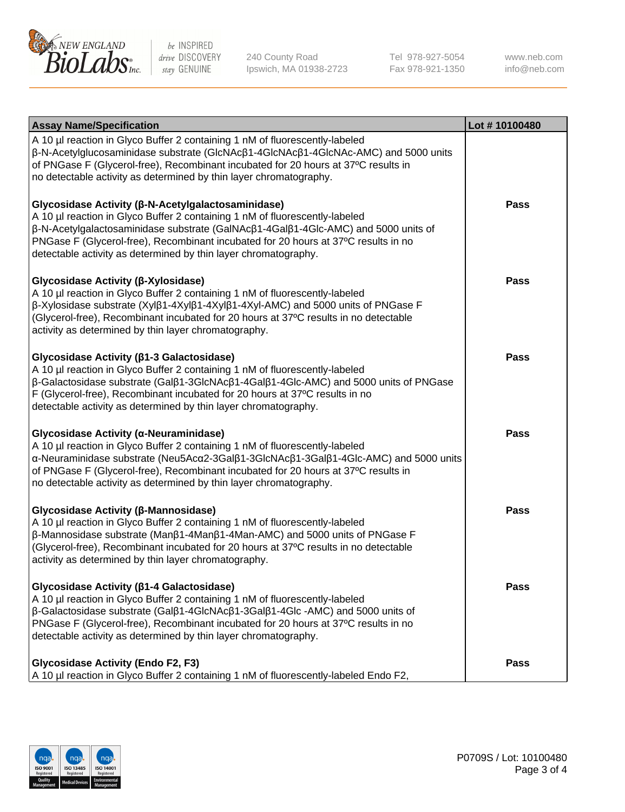

240 County Road Ipswich, MA 01938-2723 Tel 978-927-5054 Fax 978-921-1350

www.neb.com info@neb.com

| <b>Assay Name/Specification</b>                                                                                                                                                                                                                                                                                                                                                  | Lot #10100480 |
|----------------------------------------------------------------------------------------------------------------------------------------------------------------------------------------------------------------------------------------------------------------------------------------------------------------------------------------------------------------------------------|---------------|
| A 10 µl reaction in Glyco Buffer 2 containing 1 nM of fluorescently-labeled<br>β-N-Acetylglucosaminidase substrate (GlcNAcβ1-4GlcNAcβ1-4GlcNAc-AMC) and 5000 units<br>of PNGase F (Glycerol-free), Recombinant incubated for 20 hours at 37°C results in<br>no detectable activity as determined by thin layer chromatography.                                                   |               |
| Glycosidase Activity (β-N-Acetylgalactosaminidase)<br>A 10 µl reaction in Glyco Buffer 2 containing 1 nM of fluorescently-labeled<br>β-N-Acetylgalactosaminidase substrate (GalNAcβ1-4Galβ1-4Glc-AMC) and 5000 units of<br>PNGase F (Glycerol-free), Recombinant incubated for 20 hours at 37°C results in no<br>detectable activity as determined by thin layer chromatography. | <b>Pass</b>   |
| Glycosidase Activity (β-Xylosidase)<br>A 10 µl reaction in Glyco Buffer 2 containing 1 nM of fluorescently-labeled<br>β-Xylosidase substrate (Xylβ1-4Xylβ1-4Xylβ1-4Xyl-AMC) and 5000 units of PNGase F<br>(Glycerol-free), Recombinant incubated for 20 hours at 37°C results in no detectable<br>activity as determined by thin layer chromatography.                           | <b>Pass</b>   |
| Glycosidase Activity (β1-3 Galactosidase)<br>A 10 µl reaction in Glyco Buffer 2 containing 1 nM of fluorescently-labeled<br>β-Galactosidase substrate (Galβ1-3GlcNAcβ1-4Galβ1-4Glc-AMC) and 5000 units of PNGase<br>F (Glycerol-free), Recombinant incubated for 20 hours at 37°C results in no<br>detectable activity as determined by thin layer chromatography.               | <b>Pass</b>   |
| Glycosidase Activity (α-Neuraminidase)<br>A 10 µl reaction in Glyco Buffer 2 containing 1 nM of fluorescently-labeled<br>α-Neuraminidase substrate (Neu5Acα2-3Galβ1-3GlcNAcβ1-3Galβ1-4Glc-AMC) and 5000 units<br>of PNGase F (Glycerol-free), Recombinant incubated for 20 hours at 37°C results in<br>no detectable activity as determined by thin layer chromatography.        | <b>Pass</b>   |
| Glycosidase Activity (β-Mannosidase)<br>A 10 µl reaction in Glyco Buffer 2 containing 1 nM of fluorescently-labeled<br>$\beta$ -Mannosidase substrate (Man $\beta$ 1-4Man $\beta$ 1-4Man-AMC) and 5000 units of PNGase F<br>(Glycerol-free), Recombinant incubated for 20 hours at 37°C results in no detectable<br>activity as determined by thin layer chromatography.         | <b>Pass</b>   |
| Glycosidase Activity ( $\beta$ 1-4 Galactosidase)<br>A 10 µl reaction in Glyco Buffer 2 containing 1 nM of fluorescently-labeled<br>β-Galactosidase substrate (Galβ1-4GlcNAcβ1-3Galβ1-4Glc -AMC) and 5000 units of<br>PNGase F (Glycerol-free), Recombinant incubated for 20 hours at 37°C results in no<br>detectable activity as determined by thin layer chromatography.      | <b>Pass</b>   |
| <b>Glycosidase Activity (Endo F2, F3)</b><br>A 10 µl reaction in Glyco Buffer 2 containing 1 nM of fluorescently-labeled Endo F2,                                                                                                                                                                                                                                                | <b>Pass</b>   |